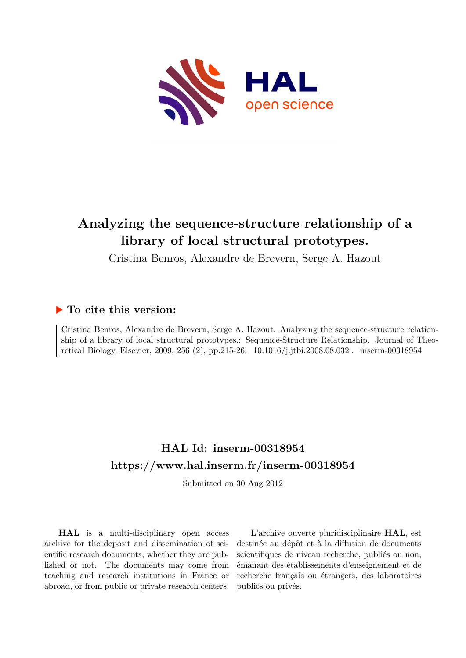

# **Analyzing the sequence-structure relationship of a library of local structural prototypes.**

Cristina Benros, Alexandre de Brevern, Serge A. Hazout

# **To cite this version:**

Cristina Benros, Alexandre de Brevern, Serge A. Hazout. Analyzing the sequence-structure relationship of a library of local structural prototypes.: Sequence-Structure Relationship. Journal of Theoretical Biology, Elsevier, 2009, 256 (2), pp.215-26.  $10.1016/j.jtbi.2008.08.032$ . inserm-00318954

# **HAL Id: inserm-00318954 <https://www.hal.inserm.fr/inserm-00318954>**

Submitted on 30 Aug 2012

**HAL** is a multi-disciplinary open access archive for the deposit and dissemination of scientific research documents, whether they are published or not. The documents may come from teaching and research institutions in France or abroad, or from public or private research centers.

L'archive ouverte pluridisciplinaire **HAL**, est destinée au dépôt et à la diffusion de documents scientifiques de niveau recherche, publiés ou non, émanant des établissements d'enseignement et de recherche français ou étrangers, des laboratoires publics ou privés.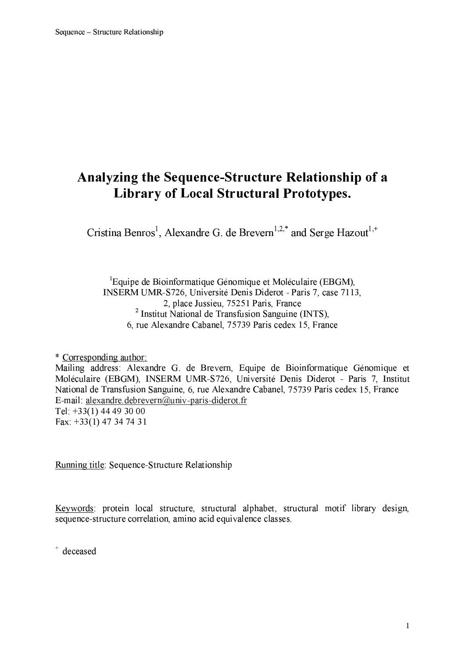# Analyzing the Sequence-Structure Relationship of a **Library of Local Structural Prototypes.**

Cristina Benros<sup>1</sup>, Alexandre G. de Brevern<sup>1,2,\*</sup> and Serge Hazout<sup>1,+</sup>

<sup>1</sup>Equipe de Bioinformatique Génomique et Moléculaire (EBGM), INSERM UMR-S726, Université Denis Diderot - Paris 7, case 7113, 2, place Jussieu, 75251 Paris, France  $2$  Institut National de Transfusion Sanguine (INTS), 6, rue Alexandre Cabanel, 75739 Paris cedex 15, France

\* Corresponding author: Mailing address: Alexandre G. de Brevern, Equipe de Bioinformatique Génomique et Moléculaire (EBGM), INSERM UMR-S726, Université Denis Diderot - Paris 7, Institut National de Transfusion Sanguine, 6, rue Alexandre Cabanel, 75739 Paris cedex 15, France E-mail: alexandre.debrevern@univ-paris-diderot.fr Tel:  $+33(1)$  44 49 30 00 Fax:  $+33(1)$  47 34 74 31

Running title: Sequence-Structure Relationship

Keywords: protein local structure, structural alphabet, structural motif library design, sequence-structure correlation, amino acid equivalence classes.

+ deceased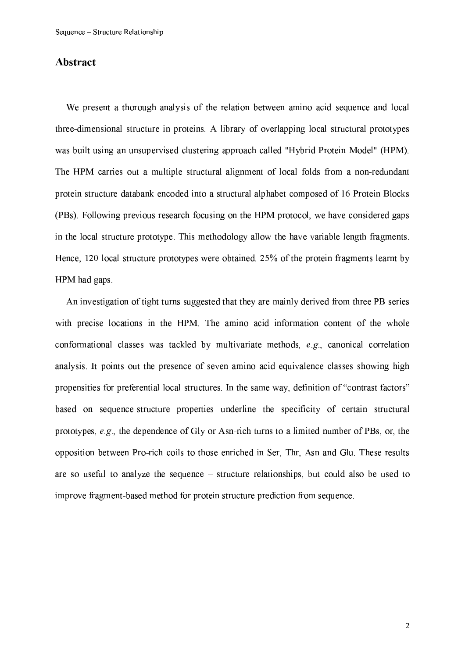## Abstract

We present a thorough analysis of the relation between amino acid sequence and local three-dimensional structure in proteins. A library of overlapping local structural prototypes was built using an unsupervised clustering approach called "Hybrid Protein Model" (HPM). The HPM carries out a multiple structural alignment of local folds from a non-redundant protein structure databank encoded into a structural alphabet composed of 16 Protein Blocks (PBs). Following previous research focusing on the HPM protocol, we have considered gaps in the local structure prototype. This methodology allow the have variable length fragments. Hence, 120 local structure prototypes were obtained. 25% of the protein fragments learnt by HPM had gaps.

An investigation of tight turns suggested that they are mainly derived from three PB series with precise locations in the HPM. The amino acid information content of the whole conformational classes was tackled by multivariate methods, e.g., canonical correlation analysis. It points out the presence of seven amino acid equivalence classes showing high propensities for preferential local structures. In the same way, definition of "contrast factors" based on sequence-structure properties underline the specificity of certain structural prototypes,  $e.g.,$  the dependence of Gly or Asn-rich turns to a limited number of PBs, or, the opposition between Pro-rich coils to those enriched in Ser, Thr, Asn and Glu. These results are so useful to analyze the sequence  $-$  structure relationships, but could also be used to improve fragment-based method for protein structure prediction from sequence.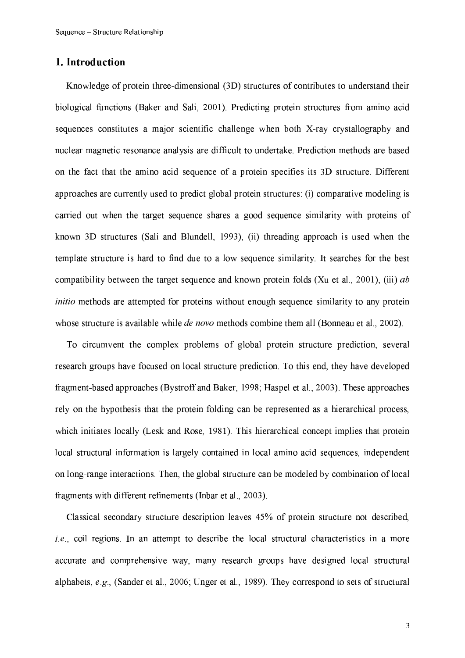# 1. Introduction

Knowledge of protein three-dimensional (3D) structures of contributes to understand their biological functions (Baker and Sali, 2001). Predicting protein structures from amino acid sequences constitutes a major scientific challenge when both X-ray crystallography and nuclear magnetic resonance analysis are difficult to undertake. Prediction methods are based on the fact that the amino acid sequence of a protein specifies its 3D structure. Different approaches are currently used to predict global protein structures: (i) comparative modeling is carried out when the target sequence shares a good sequence similarity with proteins of known 3D structures (Sali and Blundell, 1993), (ii) threading approach is used when the template structure is hard to find due to a low sequence similarity. It searches for the best compatibility between the target sequence and known protein folds (Xu et al., 2001), (iii)  $ab$ initio methods are attempted for proteins without enough sequence similarity to any protein whose structure is available while *de novo* methods combine them all (Bonneau et al., 2002).

To circumvent the complex problems of global protein structure prediction, several research groups have focused on local structure prediction. To this end, they have developed fragment-based approaches (Bystroff and Baker, 1998; Haspel et al., 2003). These approaches rely on the hypothesis that the protein folding can be represented as a hierarchical process, which initiates locally (Lesk and Rose, 1981). This hierarchical concept implies that protein local structural information is largely contained in local amino acid sequences, independent on long-range interactions. Then, the global structure can be modeled by combination of local fragments with different refinements (Inbar et al., 2003).

Classical secondary structure description leaves 45% of protein structure not described.  $i.e.,$  coil regions. In an attempt to describe the local structural characteristics in a more accurate and comprehensive way, many research groups have designed local structural alphabets, e.g., (Sander et al., 2006; Unger et al., 1989). They correspond to sets of structural

3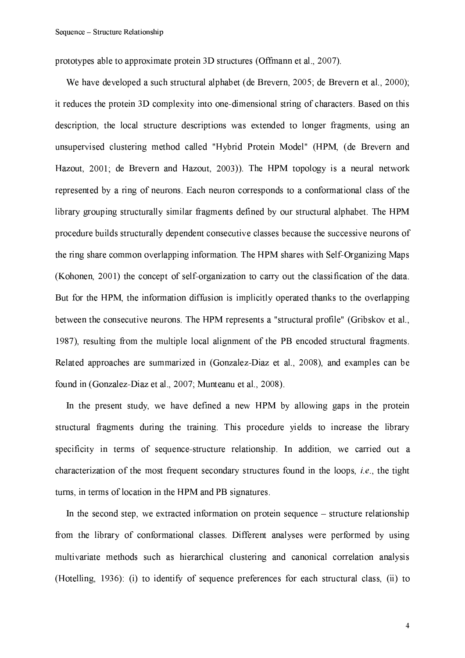prototypes able to approximate protein 3D structures (Offmann et al., 2007).

We have developed a such structural alphabet (de Brevern, 2005; de Brevern et al., 2000); it reduces the protein 3D complexity into one-dimensional string of characters. Based on this description, the local structure descriptions was extended to longer fragments, using an unsupervised clustering method called "Hybrid Protein Model" (HPM, (de Brevern and Hazout, 2001; de Brevern and Hazout, 2003)). The HPM topology is a neural network represented by a ring of neurons. Each neuron corresponds to a conformational class of the library grouping structurally similar fragments defined by our structural alphabet. The HPM procedure builds structurally dependent consecutive classes because the successive neurons of the ring share common overlapping information. The HPM shares with Self-Organizing Maps (Kohonen, 2001) the concept of self-organization to carry out the classification of the data. But for the HPM, the information diffusion is implicitly operated thanks to the overlapping between the consecutive neurons. The HPM represents a "structural profile" (Gribskov et al., 1987), resulting from the multiple local alignment of the PB encoded structural fragments. Related approaches are summarized in (Gonzalez-Diaz et al., 2008), and examples can be found in (Gonzalez-Diaz et al., 2007; Munteanu et al., 2008).

In the present study, we have defined a new HPM by allowing gaps in the protein structural fragments during the training. This procedure yields to increase the library specificity in terms of sequence-structure relationship. In addition, we carried out a characterization of the most frequent secondary structures found in the loops, i.e., the tight turns, in terms of location in the HPM and PB signatures.

In the second step, we extracted information on protein sequence – structure relationship from the library of conformational classes. Different analyses were performed by using multivariate methods such as hierarchical clustering and canonical correlation analysis (Hotelling, 1936): (i) to identify of sequence preferences for each structural class. (ii) to

 $\overline{4}$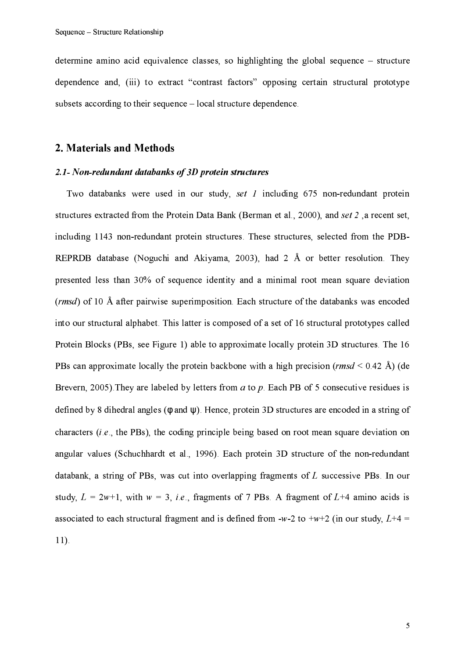determine amino acid equivalence classes, so highlighting the global sequence  $-$  structure dependence and, (iii) to extract "contrast factors" opposing certain structural prototype subsets according to their sequence – local structure dependence.

## 2. Materials and Methods

#### 2.1- Non-redundant databanks of 3D protein structures

Two databanks were used in our study, set  $I$  including 675 non-redundant protein structures extracted from the Protein Data Bank (Berman et al., 2000), and set 2, a recent set, including 1143 non-redundant protein structures. These structures, selected from the PDB-REPRDB database (Noguchi and Akiyama, 2003), had 2 Å or better resolution. They presented less than 30% of sequence identity and a minimal root mean square deviation (rmsd) of 10 Å after pairwise superimposition. Each structure of the databanks was encoded into our structural alphabet. This latter is composed of a set of 16 structural prototypes called Protein Blocks (PBs, see Figure 1) able to approximate locally protein 3D structures. The 16 PBs can approximate locally the protein backbone with a high precision (rmsd < 0.42 Å) (de Brevern, 2005). They are labeled by letters from  $a$  to  $p$ . Each PB of 5 consecutive residues is defined by 8 dihedral angles ( $\phi$  and  $\psi$ ). Hence, protein 3D structures are encoded in a string of characters  $(i.e., the PBs)$ , the coding principle being based on root mean square deviation on angular values (Schuchhardt et al., 1996). Each protein 3D structure of the non-redundant databank, a string of PBs, was cut into overlapping fragments of  $L$  successive PBs. In our study,  $L = 2w+1$ , with  $w = 3$ , *i.e.*, fragments of 7 PBs. A fragment of L+4 amino acids is associated to each structural fragment and is defined from -w-2 to +w+2 (in our study,  $L+4$  =  $11$ ).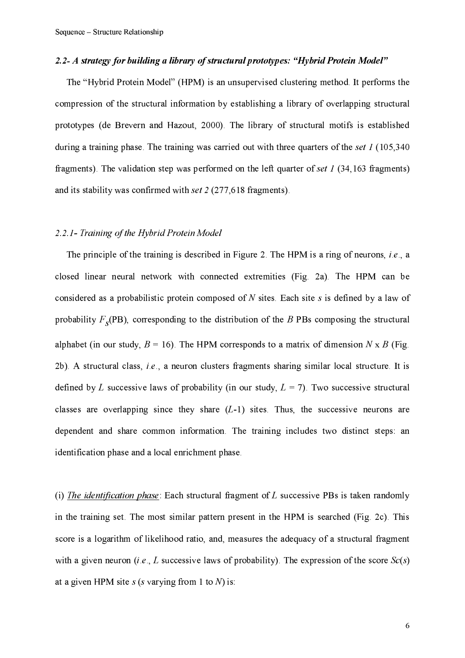## 2.2- A strategy for building a library of structural prototypes: "Hybrid Protein Model"

The "Hybrid Protein Model" (HPM) is an unsupervised clustering method. It performs the compression of the structural information by establishing a library of overlapping structural prototypes (de Brevern and Hazout, 2000). The library of structural motifs is established during a training phase. The training was carried out with three quarters of the set  $I(105,340)$ fragments). The validation step was performed on the left quarter of set  $I$  (34,163 fragments) and its stability was confirmed with set  $2(277,618$  fragments).

#### 2.2.1- Training of the Hybrid Protein Model

The principle of the training is described in Figure 2. The HPM is a ring of neurons, i.e., a closed linear neural network with connected extremities (Fig. 2a). The HPM can be considered as a probabilistic protein composed of  $N$  sites. Each site  $s$  is defined by a law of probability  $F_{\rm g}(PB)$ , corresponding to the distribution of the B PBs composing the structural alphabet (in our study,  $B = 16$ ). The HPM corresponds to a matrix of dimension N x B (Fig. 2b). A structural class, *i.e.*, a neuron clusters fragments sharing similar local structure. It is defined by L successive laws of probability (in our study,  $L = 7$ ). Two successive structural classes are overlapping since they share  $(L-1)$  sites. Thus, the successive neurons are dependent and share common information. The training includes two distinct steps: an identification phase and a local enrichment phase.

(i) The identification phase: Each structural fragment of  $L$  successive PBs is taken randomly in the training set. The most similar pattern present in the HPM is searched (Fig. 2c). This score is a logarithm of likelihood ratio, and, measures the adequacy of a structural fragment with a given neuron (*i.e.*, L successive laws of probability). The expression of the score  $Sc(s)$ at a given HPM site  $s$  (s varying from 1 to N) is: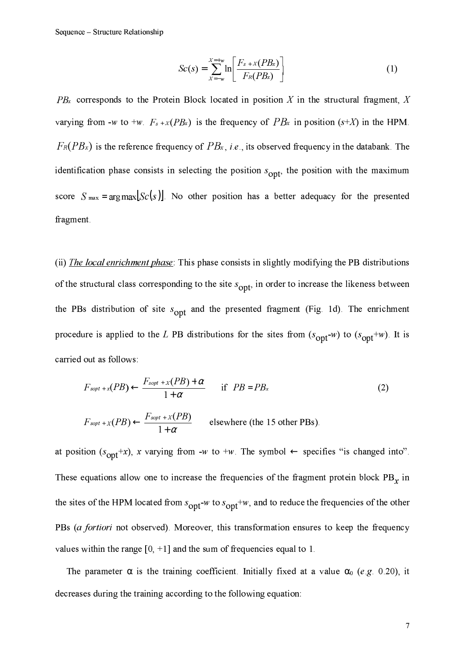$$
Sc(s) = \sum_{x=-w}^{x=+w} \ln \left[ \frac{F_{s+}x(PB_x)}{F_R(PB_x)} \right]
$$
 (1)

 $PB_{x}$  corresponds to the Protein Block located in position X in the structural fragment, X varying from -w to +w.  $F_{s+X}(PB_s)$  is the frequency of  $PB_x$  in position (s+X) in the HPM.  $F_R(PB_x)$  is the reference frequency of  $PB_x$ , *i.e.*, its observed frequency in the databank. The identification phase consists in selecting the position  $s_{\text{opt}}$ , the position with the maximum score  $S_{\text{max}} = \arg \max [S_C(s)]$ . No other position has a better adequacy for the presented fragment.

(ii) *The local enrichment phase*: This phase consists in slightly modifying the PB distributions of the structural class corresponding to the site  $s_{\text{opt}}$  in order to increase the likeness between the PBs distribution of site  $s_{opt}$  and the presented fragment (Fig. 1d). The enrichment procedure is applied to the L PB distributions for the sites from  $(s_{opt} - w)$  to  $(s_{opt} + w)$ . It is carried out as follows:

$$
F_{\text{sopt}+x}(PB) \leftarrow \frac{F_{\text{sopt}+x}(PB) + \alpha}{1 + \alpha} \quad \text{if } PB = PB_x
$$
\n
$$
F_{\text{sopt}+x}(PB) \leftarrow \frac{F_{\text{sopt}+x}(PB)}{1 + \alpha} \quad \text{elsewhere (the 15 other PBs)}.
$$
\n(2)

at position  $(s_{opt}+x)$ , x varying from -w to +w. The symbol  $\leftarrow$  specifies "is changed into". These equations allow one to increase the frequencies of the fragment protein block  $PB<sub>x</sub>$  in the sites of the HPM located from  $s_{opt}$  w to  $s_{opt}$  +w, and to reduce the frequencies of the other PBs (a fortiori not observed). Moreover, this transformation ensures to keep the frequency values within the range  $[0, +1]$  and the sum of frequencies equal to 1.

The parameter  $\alpha$  is the training coefficient. Initially fixed at a value  $\alpha_0$  (e.g. 0.20), it decreases during the training according to the following equation: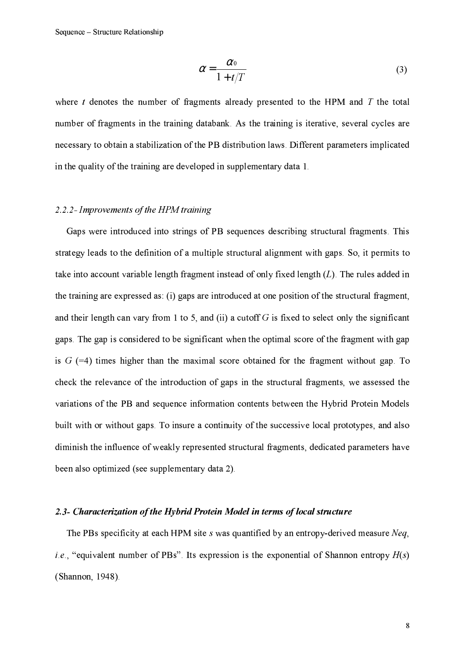$$
\alpha = \frac{\alpha_0}{1 + t/T} \tag{3}
$$

where  $t$  denotes the number of fragments already presented to the HPM and  $T$  the total number of fragments in the training databank. As the training is iterative, several cycles are necessary to obtain a stabilization of the PB distribution laws. Different parameters implicated in the quality of the training are developed in supplementary data 1.

## 2.2.2- Improvements of the HPM training

Gaps were introduced into strings of PB sequences describing structural fragments. This strategy leads to the definition of a multiple structural alignment with gaps. So, it permits to take into account variable length fragment instead of only fixed length  $(L)$ . The rules added in the training are expressed as: (i) gaps are introduced at one position of the structural fragment. and their length can vary from 1 to 5, and (ii) a cutoff  $G$  is fixed to select only the significant gaps. The gap is considered to be significant when the optimal score of the fragment with gap is  $G$  (=4) times higher than the maximal score obtained for the fragment without gap. To check the relevance of the introduction of gaps in the structural fragments, we assessed the variations of the PB and sequence information contents between the Hybrid Protein Models built with or without gaps. To insure a continuity of the successive local prototypes, and also diminish the influence of weakly represented structural fragments, dedicated parameters have been also optimized (see supplementary data 2).

#### 2.3- Characterization of the Hybrid Protein Model in terms of local structure

The PBs specificity at each HPM site s was quantified by an entropy-derived measure Neq. *i.e.*, "equivalent number of PBs". Its expression is the exponential of Shannon entropy  $H(s)$ (Shannon, 1948).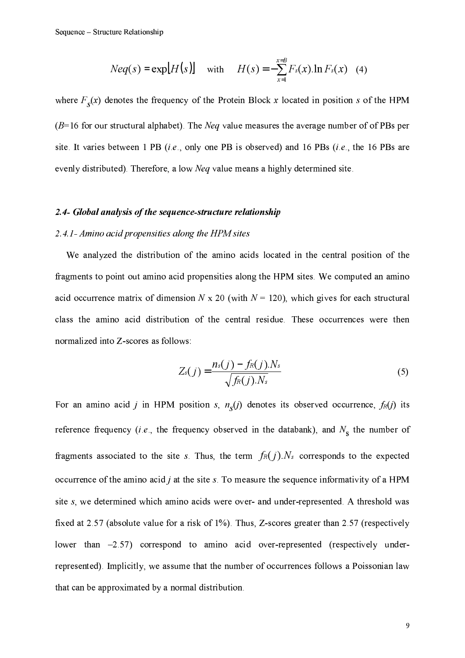$$
Neq(s) = exp[H(s)]
$$
 with  $H(s) = -\sum_{x=1}^{x=B} F_s(x) \cdot \ln F_s(x)$  (4)

where  $F_s(x)$  denotes the frequency of the Protein Block x located in position s of the HPM  $(B=16$  for our structural alphabet). The *Neq* value measures the average number of of PBs per site. It varies between 1 PB (i.e., only one PB is observed) and 16 PBs (i.e., the 16 PBs are evenly distributed). Therefore, a low *Neq* value means a highly determined site.

### 2.4- Global analysis of the sequence-structure relationship

#### 2.4.1- Amino acid propensities along the HPM sites

We analyzed the distribution of the amino acids located in the central position of the fragments to point out amino acid propensities along the HPM sites. We computed an amino acid occurrence matrix of dimension  $N \times 20$  (with  $N = 120$ ), which gives for each structural class the amino acid distribution of the central residue. These occurrences were then normalized into Z-scores as follows:

$$
Z_s(j) = \frac{n_s(j) - f_R(j).N_s}{\sqrt{f_R(j).N_s}}
$$
\n(5)

For an amino acid j in HPM position s,  $n<sub>s</sub>(j)$  denotes its observed occurrence,  $f<sub>R</sub>(j)$  its reference frequency (*i.e.*, the frequency observed in the databank), and  $N_s$  the number of fragments associated to the site s. Thus, the term  $f_R(j)$ . N<sub>s</sub> corresponds to the expected occurrence of the amino acid  $j$  at the site  $s$ . To measure the sequence informativity of a HPM site s, we determined which amino acids were over- and under-represented. A threshold was fixed at 2.57 (absolute value for a risk of  $1\%$ ). Thus, Z-scores greater than 2.57 (respectively lower than  $-2.57$ ) correspond to amino acid over-represented (respectively underrepresented). Implicitly, we assume that the number of occurrences follows a Poissonian law that can be approximated by a normal distribution.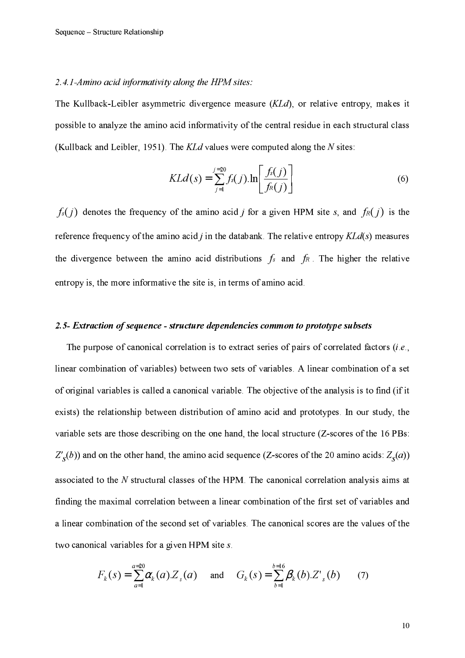#### 2.4.1-Amino acid informativity along the HPM sites:

The Kullback-Leibler asymmetric divergence measure (KLd), or relative entropy, makes it possible to analyze the amino acid informativity of the central residue in each structural class (Kullback and Leibler, 1951). The  $K L d$  values were computed along the N sites:

$$
KLd(s) = \sum_{j=1}^{j=20} f_s(j) \cdot \ln\left[\frac{f_s(j)}{f_R(j)}\right]
$$
(6)

 $f_s(j)$  denotes the frequency of the amino acid j for a given HPM site s, and  $f_R(j)$  is the reference frequency of the amino acid  $j$  in the databank. The relative entropy  $K L d(s)$  measures the divergence between the amino acid distributions  $f_s$  and  $f_R$ . The higher the relative entropy is, the more informative the site is, in terms of amino acid.

#### 2.5- Extraction of sequence - structure dependencies common to prototype subsets

The purpose of canonical correlation is to extract series of pairs of correlated factors (i.e., linear combination of variables) between two sets of variables. A linear combination of a set of original variables is called a canonical variable. The objective of the analysis is to find (if it exists) the relationship between distribution of amino acid and prototypes. In our study, the variable sets are those describing on the one hand, the local structure (Z-scores of the 16 PBs:  $Z'_{s}(b)$  and on the other hand, the amino acid sequence (Z-scores of the 20 amino acids:  $Z_{s}(a)$ ) associated to the N structural classes of the HPM. The canonical correlation analysis aims at finding the maximal correlation between a linear combination of the first set of variables and a linear combination of the second set of variables. The canonical scores are the values of the two canonical variables for a given HPM site s.

$$
F_k(s) = \sum_{a=1}^{a=20} \alpha_k(a).Z_s(a) \quad \text{and} \quad G_k(s) = \sum_{b=1}^{b=16} \beta_k(b).Z'_{s}(b) \qquad (7)
$$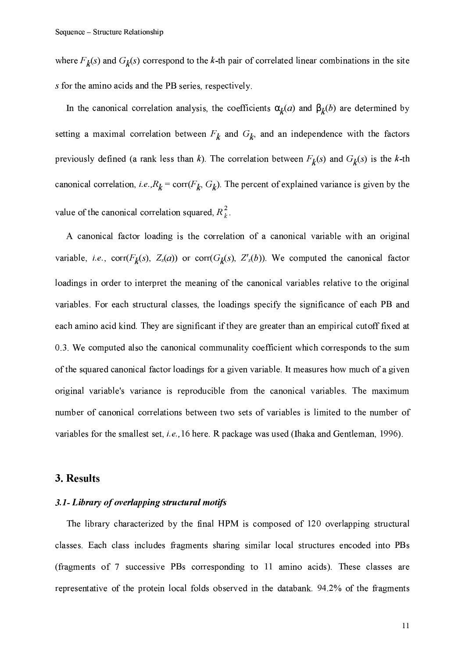where  $F_k(s)$  and  $G_k(s)$  correspond to the k-th pair of correlated linear combinations in the site s for the amino acids and the PB series, respectively.

In the canonical correlation analysis, the coefficients  $\alpha_k(a)$  and  $\beta_k(b)$  are determined by setting a maximal correlation between  $F_k$  and  $G_k$  and an independence with the factors previously defined (a rank less than k). The correlation between  $F_k(s)$  and  $G_k(s)$  is the k-th canonical correlation, *i.e.*, $R_k = \text{corr}(F_k, G_k)$ . The percent of explained variance is given by the value of the canonical correlation squared,  $R_k^2$ .

A canonical factor loading is the correlation of a canonical variable with an original variable, i.e., corr( $F_k(s)$ ,  $Z_s(a)$ ) or corr( $G_k(s)$ ,  $Z_s(b)$ ). We computed the canonical factor loadings in order to interpret the meaning of the canonical variables relative to the original variables. For each structural classes, the loadings specify the significance of each PB and each amino acid kind. They are significant if they are greater than an empirical cutoff fixed at 0.3. We computed also the canonical communality coefficient which corresponds to the sum of the squared canonical factor loadings for a given variable. It measures how much of a given original variable's variance is reproducible from the canonical variables. The maximum number of canonical correlations between two sets of variables is limited to the number of variables for the smallest set, *i.e.*, 16 here. R package was used (Ihaka and Gentleman, 1996).

# 3. Results

#### 3.1- Library of overlapping structural motifs

The library characterized by the final HPM is composed of 120 overlapping structural classes. Each class includes fragments sharing similar local structures encoded into PBs (fragments of 7 successive PBs corresponding to 11 amino acids). These classes are representative of the protein local folds observed in the databank. 94.2% of the fragments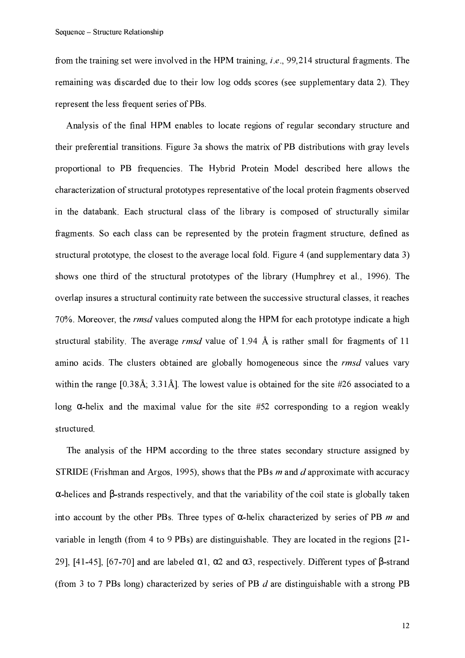from the training set were involved in the HPM training, *i.e.*, 99,214 structural fragments. The remaining was discarded due to their low log odds scores (see supplementary data 2). They represent the less frequent series of PBs.

Analysis of the final HPM enables to locate regions of regular secondary structure and their preferential transitions. Figure 3a shows the matrix of PB distributions with gray levels proportional to PB frequencies. The Hybrid Protein Model described here allows the characterization of structural prototypes representative of the local protein fragments observed in the databank. Each structural class of the library is composed of structurally similar fragments. So each class can be represented by the protein fragment structure, defined as structural prototype, the closest to the average local fold. Figure 4 (and supplementary data 3) shows one third of the structural prototypes of the library (Humphrey et al., 1996). The overlap insures a structural continuity rate between the successive structural classes, it reaches 70%. Moreover, the *rmsd* values computed along the HPM for each prototype indicate a high structural stability. The average  $\textit{rmsd}$  value of 1.94 Å is rather small for fragments of 11 amino acids. The clusters obtained are globally homogeneous since the *rmsd* values vary within the range  $[0.38\text{\AA}]$ ,  $3.31\text{\AA}$ . The lowest value is obtained for the site #26 associated to a long  $\alpha$ -helix and the maximal value for the site #52 corresponding to a region weakly structured.

The analysis of the HPM according to the three states secondary structure assigned by STRIDE (Frishman and Argos, 1995), shows that the PBs  $m$  and  $d$  approximate with accuracy  $\alpha$ -helices and  $\beta$ -strands respectively, and that the variability of the coil state is globally taken into account by the other PBs. Three types of  $\alpha$ -helix characterized by series of PB m and variable in length (from 4 to 9 PBs) are distinguishable. They are located in the regions [21-29], [41-45], [67-70] and are labeled  $\alpha$ 1,  $\alpha$ 2 and  $\alpha$ 3, respectively. Different types of B-strand (from 3 to 7 PBs long) characterized by series of PB  $d$  are distinguishable with a strong PB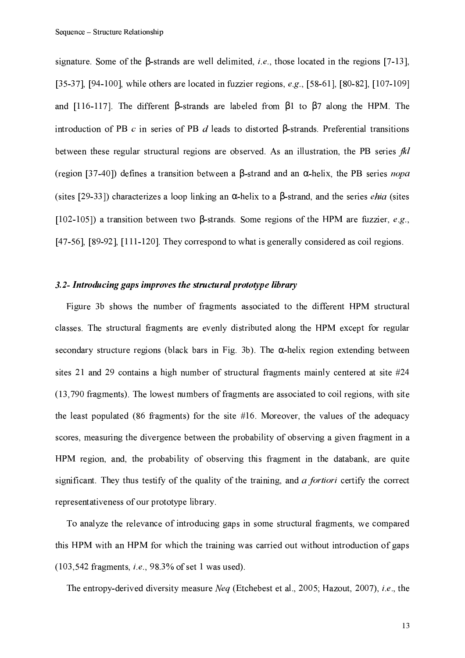signature. Some of the  $\beta$ -strands are well delimited, *i.e.*, those located in the regions [7-13], [35-37], [94-100], while others are located in fuzzier regions, e.g., [58-61], [80-82], [107-109] and [116-117]. The different  $\beta$ -strands are labeled from  $\beta$ 1 to  $\beta$ 7 along the HPM. The introduction of PB  $c$  in series of PB  $d$  leads to distorted  $\beta$ -strands. Preferential transitions between these regular structural regions are observed. As an illustration, the PB series fkl (region [37-40]) defines a transition between a  $\beta$ -strand and an  $\alpha$ -helix, the PB series *nopa* (sites [29-33]) characterizes a loop linking an  $\alpha$ -helix to a  $\beta$ -strand, and the series *ehia* (sites [102-105]) a transition between two  $\beta$ -strands. Some regions of the HPM are fuzzier, e.g., [47-56], [89-92], [111-120]. They correspond to what is generally considered as coil regions.

### 3.2- Introducing gaps improves the structural prototype library

Figure 3b shows the number of fragments associated to the different HPM structural classes. The structural fragments are evenly distributed along the HPM except for regular secondary structure regions (black bars in Fig. 3b). The  $\alpha$ -helix region extending between sites 21 and 29 contains a high number of structural fragments mainly centered at site #24 (13,790 fragments). The lowest numbers of fragments are associated to coil regions, with site the least populated (86 fragments) for the site  $#16$ . Moreover, the values of the adequacy scores, measuring the divergence between the probability of observing a given fragment in a HPM region, and, the probability of observing this fragment in the databank, are quite significant. They thus testify of the quality of the training, and a fortiori certify the correct representativeness of our prototype library.

To analyze the relevance of introducing gaps in some structural fragments, we compared this HPM with an HPM for which the training was carried out without introduction of gaps  $(103, 542$  fragments, *i.e.*, 98.3% of set 1 was used).

The entropy-derived diversity measure *Neg* (Etchebest et al., 2005; Hazout, 2007), *i.e.*, the

13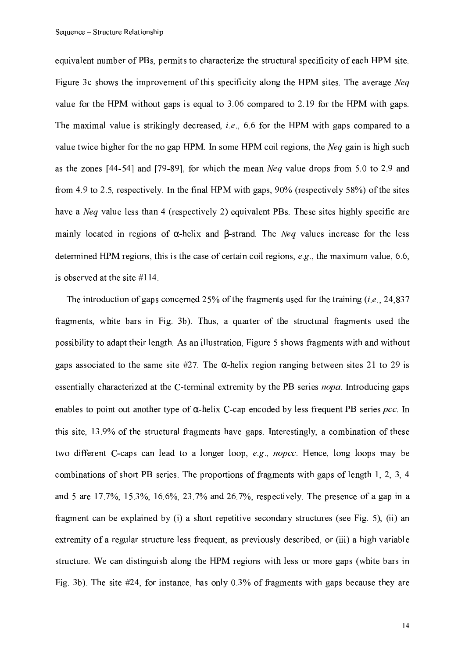equivalent number of PBs, permits to characterize the structural specificity of each HPM site. Figure 3c shows the improvement of this specificity along the HPM sites. The average Neq value for the HPM without gaps is equal to 3.06 compared to 2.19 for the HPM with gaps. The maximal value is strikingly decreased, *i.e.*, 6.6 for the HPM with gaps compared to a value twice higher for the no gap HPM. In some HPM coil regions, the *Neq* gain is high such as the zones [44-54] and [79-89], for which the mean *Neq* value drops from 5.0 to 2.9 and from 4.9 to 2.5, respectively. In the final HPM with gaps,  $90\%$  (respectively 58%) of the sites have a *Neq* value less than 4 (respectively 2) equivalent PBs. These sites highly specific are mainly located in regions of  $\alpha$ -helix and  $\beta$ -strand. The *Neq* values increase for the less determined HPM regions, this is the case of certain coil regions,  $e.g.,$  the maximum value, 6.6, is observed at the site #114.

The introduction of gaps concerned 25% of the fragments used for the training  $(i.e., 24,837)$ fragments, white bars in Fig. 3b). Thus, a quarter of the structural fragments used the possibility to adapt their length. As an illustration, Figure 5 shows fragments with and without gaps associated to the same site #27. The  $\alpha$ -helix region ranging between sites 21 to 29 is essentially characterized at the C-terminal extremity by the PB series nopa. Introducing gaps enables to point out another type of  $\alpha$ -helix C-cap encoded by less frequent PB series *pcc*. In this site, 13.9% of the structural fragments have gaps. Interestingly, a combination of these two different C-caps can lead to a longer loop, e.g., *nopcc*. Hence, long loops may be combinations of short PB series. The proportions of fragments with gaps of length 1, 2, 3, 4 and 5 are  $17.7\%$ ,  $15.3\%$ ,  $16.6\%$ ,  $23.7\%$  and  $26.7\%$ , respectively. The presence of a gap in a fragment can be explained by (i) a short repetitive secondary structures (see Fig. 5), (ii) an extremity of a regular structure less frequent, as previously described, or (iii) a high variable structure. We can distinguish along the HPM regions with less or more gaps (white bars in Fig. 3b). The site  $#24$ , for instance, has only 0.3% of fragments with gaps because they are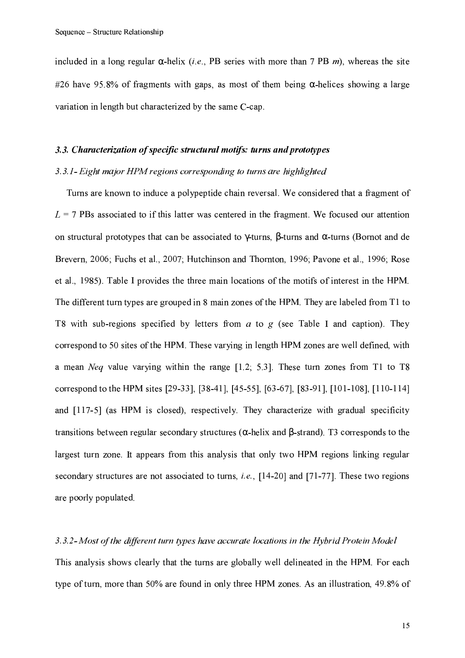included in a long regular  $\alpha$ -helix *(i.e.*, PB series with more than 7 PB *m*), whereas the site #26 have 95.8% of fragments with gaps, as most of them being  $\alpha$ -helices showing a large variation in length but characterized by the same C-cap.

### 3.3. Characterization of specific structural motifs: turns and prototypes

## 3.3.1- Eight major HPM regions corresponding to turns are highlighted

Turns are known to induce a polypeptide chain reversal. We considered that a fragment of  $L = 7$  PBs associated to if this latter was centered in the fragment. We focused our attention on structural prototypes that can be associated to  $\gamma$ -turns,  $\beta$ -turns and  $\alpha$ -turns (Bornot and de Brevern, 2006; Fuchs et al., 2007; Hutchinson and Thornton, 1996; Pavone et al., 1996; Rose et al., 1985). Table I provides the three main locations of the motifs of interest in the HPM. The different turn types are grouped in 8 main zones of the HPM. They are labeled from T1 to T8 with sub-regions specified by letters from  $a$  to  $g$  (see Table I and caption). They correspond to 50 sites of the HPM. These varying in length HPM zones are well defined, with a mean *Neq* value varying within the range [1.2; 5.3]. These turn zones from T1 to T8 correspond to the HPM sites [29-33], [38-41], [45-55], [63-67], [83-91], [101-108], [110-114] and [117-5] (as HPM is closed), respectively. They characterize with gradual specificity transitions between regular secondary structures ( $\alpha$ -helix and  $\beta$ -strand). T3 corresponds to the largest turn zone. It appears from this analysis that only two HPM regions linking regular secondary structures are not associated to turns, *i.e.*, [14-20] and [71-77]. These two regions are poorly populated.

#### 3.3.2- Most of the different turn types have accurate locations in the Hybrid Protein Model

This analysis shows clearly that the turns are globally well delineated in the HPM. For each type of turn, more than 50% are found in only three HPM zones. As an illustration, 49.8% of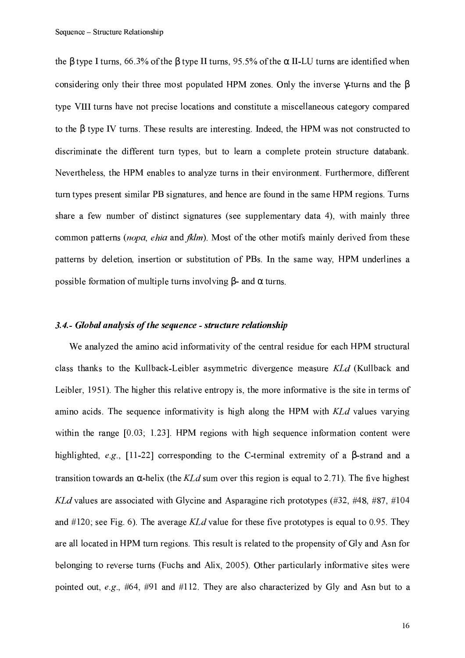the  $\beta$  type I turns, 66.3% of the  $\beta$  type II turns, 95.5% of the  $\alpha$  II-LU turns are identified when considering only their three most populated HPM zones. Only the inverse  $\gamma$ -turns and the  $\beta$ type VIII turns have not precise locations and constitute a miscellaneous category compared to the  $\beta$  type IV turns. These results are interesting. Indeed, the HPM was not constructed to discriminate the different turn types, but to learn a complete protein structure databank. Nevertheless, the HPM enables to analyze turns in their environment. Furthermore, different turn types present similar PB signatures, and hence are found in the same HPM regions. Turns share a few number of distinct signatures (see supplementary data 4), with mainly three common patterns (nopa, ehia and fklm). Most of the other motifs mainly derived from these patterns by deletion, insertion or substitution of PBs. In the same way, HPM underlines a possible formation of multiple turns involving  $\beta$ - and  $\alpha$  turns.

#### 3.4. Global analysis of the sequence - structure relationship

We analyzed the amino acid informativity of the central residue for each HPM structural class thanks to the Kullback-Leibler asymmetric divergence measure KLd (Kullback and Leibler, 1951). The higher this relative entropy is, the more informative is the site in terms of amino acids. The sequence informativity is high along the HPM with KLd values varying within the range  $[0.03, 1.23]$ . HPM regions with high sequence information content were highlighted, e.g., [11-22] corresponding to the C-terminal extremity of a  $\beta$ -strand and a transition towards an  $\alpha$ -helix (the *KLd* sum over this region is equal to 2.71). The five highest KLd values are associated with Glycine and Asparagine rich prototypes (#32, #48, #87, #104 and #120; see Fig. 6). The average  $K L d$  value for these five prototypes is equal to 0.95. They are all located in HPM turn regions. This result is related to the propensity of Gly and Asn for belonging to reverse turns (Fuchs and Alix, 2005). Other particularly informative sites were pointed out, e.g., #64, #91 and #112. They are also characterized by Gly and Asn but to a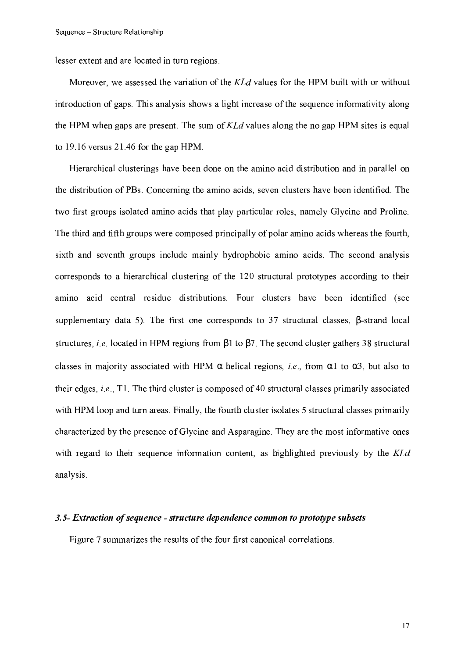lesser extent and are located in turn regions.

Moreover, we assessed the variation of the KLd values for the HPM built with or without introduction of gaps. This analysis shows a light increase of the sequence informativity along the HPM when gaps are present. The sum of KLd values along the no gap HPM sites is equal to 19.16 versus 21.46 for the gap HPM.

Hierarchical clusterings have been done on the amino acid distribution and in parallel on the distribution of PBs. Concerning the amino acids, seven clusters have been identified. The two first groups isolated amino acids that play particular roles, namely Glycine and Proline. The third and fifth groups were composed principally of polar amino acids whereas the fourth, sixth and seventh groups include mainly hydrophobic amino acids. The second analysis corresponds to a hierarchical clustering of the 120 structural prototypes according to their amino acid central residue distributions. Four clusters have been identified (see supplementary data 5). The first one corresponds to 37 structural classes,  $\beta$ -strand local structures, *i.e.* located in HPM regions from  $\beta$ 1 to  $\beta$ 7. The second cluster gathers 38 structural classes in majority associated with HPM  $\alpha$  helical regions, *i.e.*, from  $\alpha$ 1 to  $\alpha$ 3, but also to their edges, *i.e.*, T1. The third cluster is composed of 40 structural classes primarily associated with HPM loop and turn areas. Finally, the fourth cluster isolates 5 structural classes primarily characterized by the presence of Glycine and Asparagine. They are the most informative ones with regard to their sequence information content, as highlighted previously by the KLd analysis.

#### 3.5- Extraction of sequence - structure dependence common to prototype subsets

Figure 7 summarizes the results of the four first canonical correlations.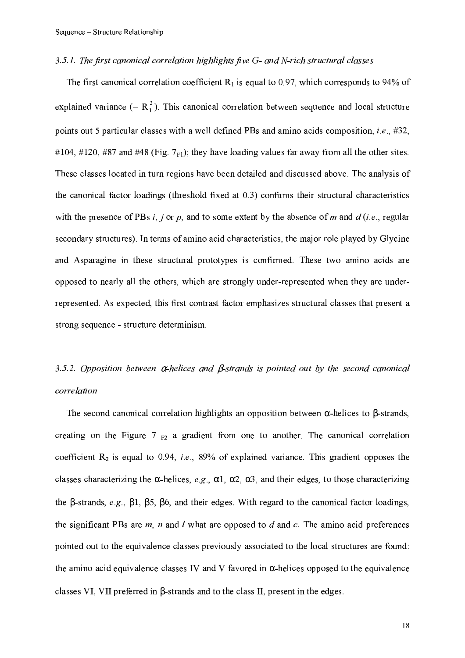#### 3.5.1. The first canonical correlation highlights five G- and N-rich structural classes

The first canonical correlation coefficient  $R_1$  is equal to 0.97, which corresponds to 94% of explained variance  $(= R_1^2)$ . This canonical correlation between sequence and local structure points out 5 particular classes with a well defined PBs and amino acids composition, *i.e.*, #32, #104, #120, #87 and #48 (Fig. 7 $_{F1}$ ); they have loading values far away from all the other sites. These classes located in turn regions have been detailed and discussed above. The analysis of the canonical factor loadings (threshold fixed at 0.3) confirms their structural characteristics with the presence of PBs i, j or p, and to some extent by the absence of m and  $d$  (i.e., regular secondary structures). In terms of amino acid characteristics, the major role played by Glycine and Asparagine in these structural prototypes is confirmed. These two amino acids are opposed to nearly all the others, which are strongly under-represented when they are underrepresented. As expected, this first contrast factor emphasizes structural classes that present a strong sequence - structure determinism.

# 3.5.2. Opposition between  $\alpha$ -helices and  $\beta$ -strands is pointed out by the second canonical correlation

The second canonical correlation highlights an opposition between  $\alpha$ -helices to  $\beta$ -strands, creating on the Figure  $7_{F2}$  a gradient from one to another. The canonical correlation coefficient  $R_2$  is equal to 0.94, *i.e.*, 89% of explained variance. This gradient opposes the classes characterizing the  $\alpha$ -helices, e.g.,  $\alpha$ 1,  $\alpha$ 2,  $\alpha$ 3, and their edges, to those characterizing the  $\beta$ -strands, e.g.,  $\beta$ 1,  $\beta$ 5,  $\beta$ 6, and their edges. With regard to the canonical factor loadings, the significant PBs are  $m$ ,  $n$  and  $l$  what are opposed to  $d$  and  $c$ . The amino acid preferences pointed out to the equivalence classes previously associated to the local structures are found: the amino acid equivalence classes IV and V favored in  $\alpha$ -helices opposed to the equivalence classes VI, VII preferred in  $\beta$ -strands and to the class II, present in the edges.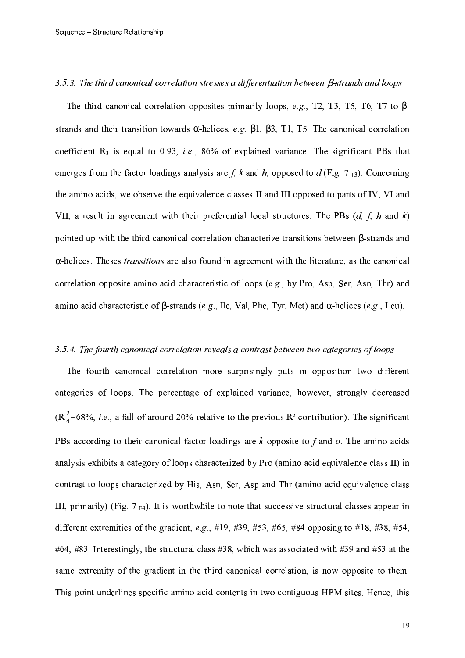#### 3.5.3. The third canonical correlation stresses a differentiation between  $\beta$ -strands and loops

The third canonical correlation opposites primarily loops, e.g., T2, T3, T5, T6, T7 to  $\beta$ strands and their transition towards  $\alpha$ -helices, e.g.  $\beta$ 1,  $\beta$ 3, T1, T5. The canonical correlation coefficient  $R_3$  is equal to 0.93, *i.e.*, 86% of explained variance. The significant PBs that emerges from the factor loadings analysis are f, k and h, opposed to d (Fig. 7  $_{F3}$ ). Concerning the amino acids, we observe the equivalence classes II and III opposed to parts of IV. VI and VII, a result in agreement with their preferential local structures. The PBs  $(d, f, h$  and k) pointed up with the third canonical correlation characterize transitions between  $\beta$ -strands and  $\alpha$ -helices. Theses *transitions* are also found in agreement with the literature, as the canonical correlation opposite amino acid characteristic of loops (e.g., by Pro, Asp, Ser, Asn, Thr) and amino acid characteristic of  $\beta$ -strands (e.g., Ile, Val, Phe, Tyr, Met) and  $\alpha$ -helices (e.g., Leu).

#### 3.5.4. The fourth canonical correlation reveals a contrast between two categories of loops

The fourth canonical correlation more surprisingly puts in opposition two different categories of loops. The percentage of explained variance, however, strongly decreased  $(R_4^2=68\%, i.e.,$  a fall of around 20% relative to the previous R<sup>2</sup> contribution). The significant PBs according to their canonical factor loadings are  $k$  opposite to  $f$  and  $o$ . The amino acids analysis exhibits a category of loops characterized by Pro (amino acid equivalence class II) in contrast to loops characterized by His, Asn, Ser, Asp and Thr (amino acid equivalence class III, primarily) (Fig.  $7_{F4}$ ). It is worthwhile to note that successive structural classes appear in different extremities of the gradient, e.g., #19, #39, #53, #65, #84 opposing to #18, #38, #54, #64, #83. Interestingly, the structural class #38, which was associated with #39 and #53 at the same extremity of the gradient in the third canonical correlation, is now opposite to them. This point underlines specific amino acid contents in two contiguous HPM sites. Hence, this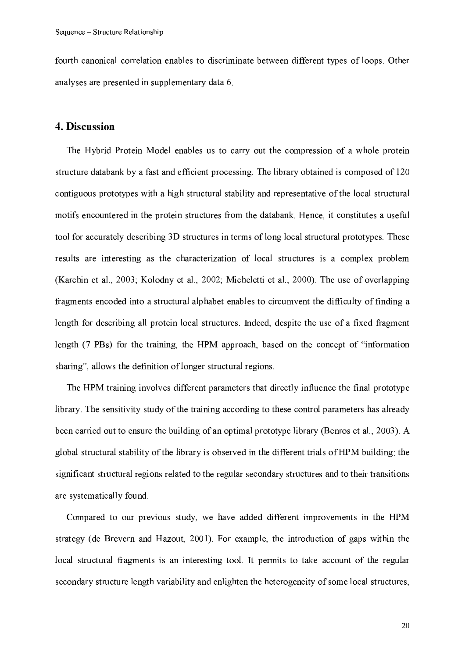fourth canonical correlation enables to discriminate between different types of loops. Other analyses are presented in supplementary data 6.

## 4. Discussion

The Hybrid Protein Model enables us to carry out the compression of a whole protein structure databank by a fast and efficient processing. The library obtained is composed of 120 contiguous prototypes with a high structural stability and representative of the local structural motifs encountered in the protein structures from the databank. Hence, it constitutes a useful tool for accurately describing 3D structures in terms of long local structural prototypes. These results are interesting as the characterization of local structures is a complex problem (Karchin et al., 2003; Kolodny et al., 2002; Micheletti et al., 2000). The use of overlapping fragments encoded into a structural alphabet enables to circumvent the difficulty of finding a length for describing all protein local structures. Indeed, despite the use of a fixed fragment length (7 PBs) for the training, the HPM approach, based on the concept of "information" sharing", allows the definition of longer structural regions.

The HPM training involves different parameters that directly influence the final prototype library. The sensitivity study of the training according to these control parameters has already been carried out to ensure the building of an optimal prototype library (Benros et al., 2003). A global structural stability of the library is observed in the different trials of HPM building: the significant structural regions related to the regular secondary structures and to their transitions are systematically found.

Compared to our previous study, we have added different improvements in the HPM strategy (de Brevern and Hazout, 2001). For example, the introduction of gaps within the local structural fragments is an interesting tool. It permits to take account of the regular secondary structure length variability and enlighten the heterogeneity of some local structures,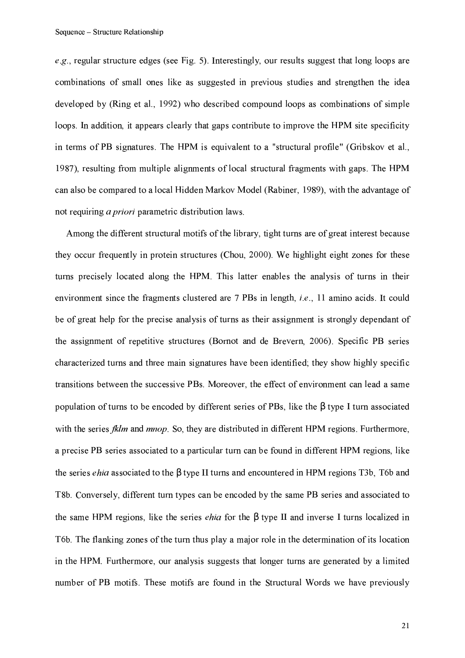e.g., regular structure edges (see Fig. 5). Interestingly, our results suggest that long loops are combinations of small ones like as suggested in previous studies and strengthen the idea developed by (Ring et al., 1992) who described compound loops as combinations of simple loops. In addition, it appears clearly that gaps contribute to improve the HPM site specificity in terms of PB signatures. The HPM is equivalent to a "structural profile" (Gribskov et al., 1987), resulting from multiple alignments of local structural fragments with gaps. The HPM can also be compared to a local Hidden Markov Model (Rabiner, 1989), with the advantage of not requiring *a priori* parametric distribution laws.

Among the different structural motifs of the library, tight turns are of great interest because they occur frequently in protein structures (Chou, 2000). We highlight eight zones for these turns precisely located along the HPM. This latter enables the analysis of turns in their environment since the fragments clustered are 7 PBs in length, *i.e.*, 11 amino acids. It could be of great help for the precise analysis of turns as their assignment is strongly dependant of the assignment of repetitive structures (Bornot and de Brevern, 2006). Specific PB series characterized turns and three main signatures have been identified; they show highly specific transitions between the successive PBs. Moreover, the effect of environment can lead a same population of turns to be encoded by different series of PBs, like the B type I turn associated with the series *fklm* and *mnop*. So, they are distributed in different HPM regions. Furthermore, a precise PB series associated to a particular turn can be found in different HPM regions, like the series *ehia* associated to the  $\beta$  type II turns and encountered in HPM regions T3b, T6b and T8b. Conversely, different turn types can be encoded by the same PB series and associated to the same HPM regions, like the series *ehia* for the  $\beta$  type II and inverse I turns localized in T6b. The flanking zones of the turn thus play a major role in the determination of its location in the HPM. Furthermore, our analysis suggests that longer turns are generated by a limited number of PB motifs. These motifs are found in the Structural Words we have previously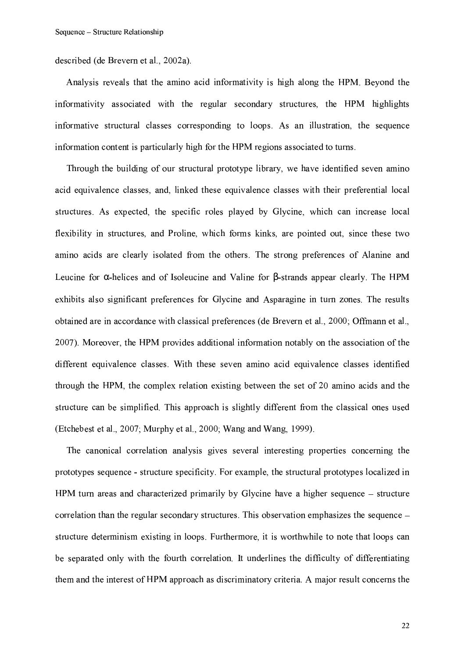described (de Brevern et al., 2002a).

Analysis reveals that the amino acid informativity is high along the HPM. Beyond the informativity associated with the regular secondary structures, the HPM highlights informative structural classes corresponding to loops. As an illustration, the sequence information content is particularly high for the HPM regions associated to turns.

Through the building of our structural prototype library, we have identified seven amino acid equivalence classes, and, linked these equivalence classes with their preferential local structures. As expected, the specific roles played by Glycine, which can increase local flexibility in structures, and Proline, which forms kinks, are pointed out, since these two amino acids are clearly isolated from the others. The strong preferences of Alanine and Leucine for  $\alpha$ -helices and of Isoleucine and Valine for  $\beta$ -strands appear clearly. The HPM exhibits also significant preferences for Glycine and Asparagine in turn zones. The results obtained are in accordance with classical preferences (de Brevern et al., 2000; Offmann et al., 2007). Moreover, the HPM provides additional information notably on the association of the different equivalence classes. With these seven amino acid equivalence classes identified through the HPM, the complex relation existing between the set of 20 amino acids and the structure can be simplified. This approach is slightly different from the classical ones used (Etchebest et al., 2007; Murphy et al., 2000; Wang and Wang, 1999).

The canonical correlation analysis gives several interesting properties concerning the prototypes sequence - structure specificity. For example, the structural prototypes localized in HPM turn areas and characterized primarily by Glycine have a higher sequence – structure correlation than the regular secondary structures. This observation emphasizes the sequence – structure determinism existing in loops. Furthermore, it is worthwhile to note that loops can be separated only with the fourth correlation. It underlines the difficulty of differentiating them and the interest of HPM approach as discriminatory criteria. A major result concerns the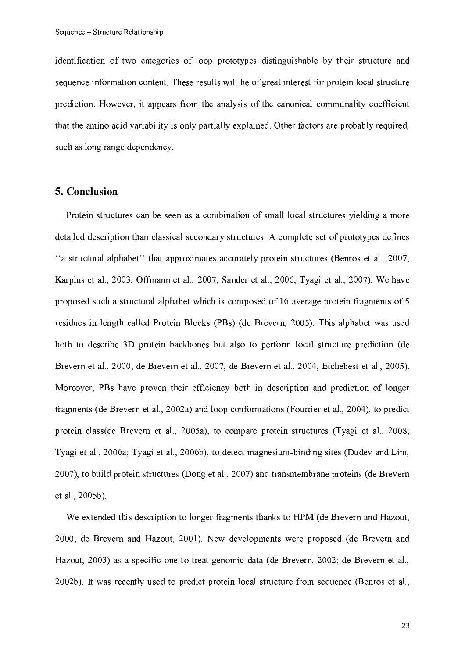identification of two categories of loop prototypes distinguishable by their structure and sequence information content. These results will be of great interest for protein local structure prediction. However, it appears from the analysis of the canonical communality coefficient that the amino acid variability is only partially explained. Other factors are probably required, such as long range dependency.

## 5. Conclusion

Protein structures can be seen as a combination of small local structures yielding a more detailed description than classical secondary structures. A complete set of prototypes defines "a structural alphabet" that approximates accurately protein structures (Benros et al., 2007; Karplus et al., 2003; Offmann et al., 2007; Sander et al., 2006; Tyagi et al., 2007). We have proposed such a structural alphabet which is composed of 16 average protein fragments of 5 residues in length called Protein Blocks (PBs) (de Brevern, 2005). This alphabet was used both to describe 3D protein backbones but also to perform local structure prediction (de Brevern et al., 2000; de Brevern et al., 2007; de Brevern et al., 2004; Etchebest et al., 2005). Moreover, PBs have proven their efficiency both in description and prediction of longer fragments (de Brevern et al., 2002a) and loop conformations (Fourrier et al., 2004), to predict protein class (de Brevern et al., 2005a), to compare protein structures (Tyagi et al., 2008; Tyagi et al., 2006a; Tyagi et al., 2006b), to detect magnesium-binding sites (Dudev and Lim, 2007), to build protein structures (Dong et al., 2007) and transmembrane proteins (de Brevern et al., 2005b).

We extended this description to longer fragments thanks to HPM (de Brevern and Hazout, 2000; de Brevern and Hazout, 2001). New developments were proposed (de Brevern and Hazout, 2003) as a specific one to treat genomic data (de Brevern, 2002; de Brevern et al., 2002b). It was recently used to predict protein local structure from sequence (Benros et al.,

23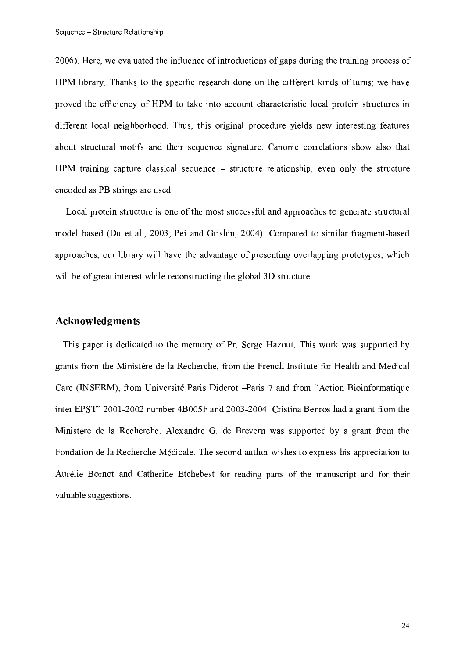2006). Here, we evaluated the influence of introductions of gaps during the training process of HPM library. Thanks to the specific research done on the different kinds of turns; we have proved the efficiency of HPM to take into account characteristic local protein structures in different local neighborhood. Thus, this original procedure yields new interesting features about structural motifs and their sequence signature. Canonic correlations show also that HPM training capture classical sequence  $-$  structure relationship, even only the structure encoded as PB strings are used.

Local protein structure is one of the most successful and approaches to generate structural model based (Du et al., 2003; Pei and Grishin, 2004). Compared to similar fragment-based approaches, our library will have the advantage of presenting overlapping prototypes, which will be of great interest while reconstructing the global 3D structure.

# Acknowledgments

This paper is dedicated to the memory of Pr. Serge Hazout. This work was supported by grants from the Ministère de la Recherche, from the French Institute for Health and Medical Care (INSERM), from Université Paris Diderot -Paris 7 and from "Action Bioinformatique inter EPST" 2001-2002 number 4B005F and 2003-2004. Cristina Benros had a grant from the Ministère de la Recherche. Alexandre G. de Brevern was supported by a grant from the Fondation de la Recherche Médicale. The second author wishes to express his appreciation to Aurélie Bornot and Catherine Etchebest for reading parts of the manuscript and for their valuable suggestions.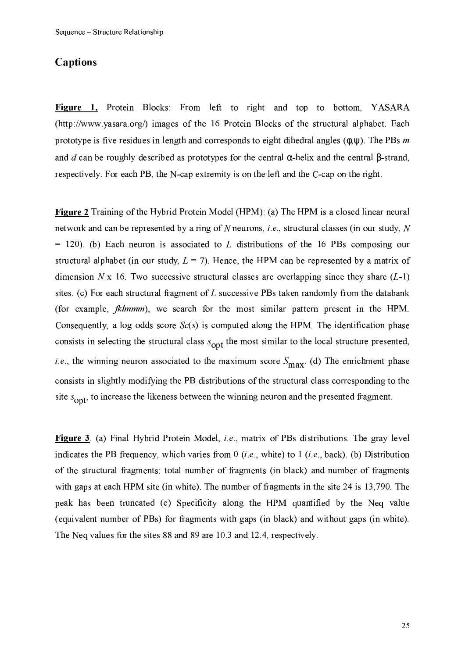## **Captions**

Figure 1. Protein Blocks: From left to right and top to bottom, YASARA (http://www.yasara.org/) images of the 16 Protein Blocks of the structural alphabet. Each prototype is five residues in length and corresponds to eight dihedral angles  $(\phi, \psi)$ . The PBs m and d can be roughly described as prototypes for the central  $\alpha$ -helix and the central  $\beta$ -strand, respectively. For each PB, the N-cap extremity is on the left and the C-cap on the right.

Figure 2 Training of the Hybrid Protein Model (HPM): (a) The HPM is a closed linear neural network and can be represented by a ring of N neurons, *i.e.*, structural classes (in our study, N  $=$  120). (b) Each neuron is associated to L distributions of the 16 PBs composing our structural alphabet (in our study,  $L = 7$ ). Hence, the HPM can be represented by a matrix of dimension N x 16. Two successive structural classes are overlapping since they share  $(L-1)$ sites. (c) For each structural fragment of  $L$  successive PBs taken randomly from the databank (for example, *fklmmm*), we search for the most similar pattern present in the HPM. Consequently, a log odds score  $Sc(s)$  is computed along the HPM. The identification phase consists in selecting the structural class  $s_{\text{opt}}$  the most similar to the local structure presented, *i.e.*, the winning neuron associated to the maximum score  $S_{\text{max}}$  (d) The enrichment phase consists in slightly modifying the PB distributions of the structural class corresponding to the site  $s_{\text{opt}}$ , to increase the likeness between the winning neuron and the presented fragment.

Figure 3. (a) Final Hybrid Protein Model, *i.e.*, matrix of PBs distributions. The gray level indicates the PB frequency, which varies from 0 (*i.e.*, white) to 1 (*i.e.*, back). (b) Distribution of the structural fragments: total number of fragments (in black) and number of fragments with gaps at each HPM site (in white). The number of fragments in the site 24 is 13,790. The peak has been truncated (c) Specificity along the HPM quantified by the Neq value (equivalent number of PBs) for fragments with gaps (in black) and without gaps (in white). The Neq values for the sites 88 and 89 are 10.3 and 12.4, respectively.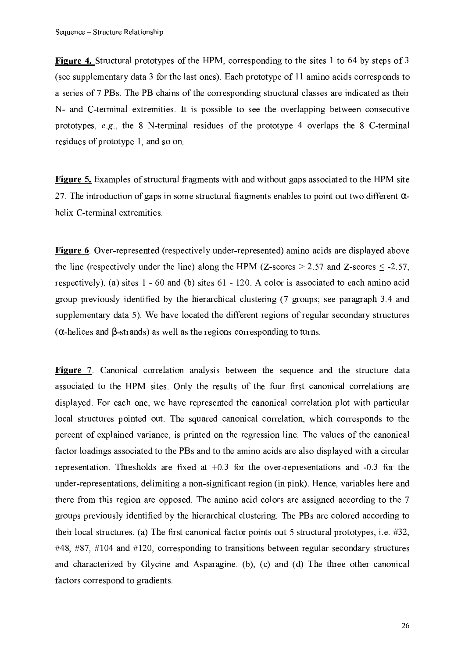Figure 4. Structural prototypes of the HPM, corresponding to the sites 1 to 64 by steps of 3 (see supplementary data 3 for the last ones). Each prototype of 11 amino acids corresponds to a series of 7 PBs. The PB chains of the corresponding structural classes are indicated as their N- and C-terminal extremities. It is possible to see the overlapping between consecutive prototypes,  $e.g.,$  the 8 N-terminal residues of the prototype 4 overlaps the 8 C-terminal residues of prototype 1, and so on.

Figure 5. Examples of structural fragments with and without gaps associated to the HPM site 27. The introduction of gaps in some structural fragments enables to point out two different  $\alpha$ helix C-terminal extremities.

**Figure 6.** Over-represented (respectively under-represented) amino acids are displayed above the line (respectively under the line) along the HPM (Z-scores  $> 2.57$  and Z-scores  $\leq$  -2.57, respectively). (a) sites  $1 - 60$  and (b) sites  $61 - 120$ . A color is associated to each amino acid group previously identified by the hierarchical clustering (7 groups; see paragraph 3.4 and supplementary data 5). We have located the different regions of regular secondary structures  $(\alpha$ -helices and  $\beta$ -strands) as well as the regions corresponding to turns.

Figure 7. Canonical correlation analysis between the sequence and the structure data associated to the HPM sites. Only the results of the four first canonical correlations are displayed. For each one, we have represented the canonical correlation plot with particular local structures pointed out. The squared canonical correlation, which corresponds to the percent of explained variance, is printed on the regression line. The values of the canonical factor loadings associated to the PBs and to the amino acids are also displayed with a circular representation. Thresholds are fixed at  $+0.3$  for the over-representations and  $-0.3$  for the under-representations, delimiting a non-significant region (in pink). Hence, variables here and there from this region are opposed. The amino acid colors are assigned according to the 7 groups previously identified by the hierarchical clustering. The PBs are colored according to their local structures. (a) The first canonical factor points out 5 structural prototypes, i.e.  $#32$ ,  $\#48$ ,  $\#87$ ,  $\#104$  and  $\#120$ , corresponding to transitions between regular secondary structures and characterized by Glycine and Asparagine. (b), (c) and (d) The three other canonical factors correspond to gradients.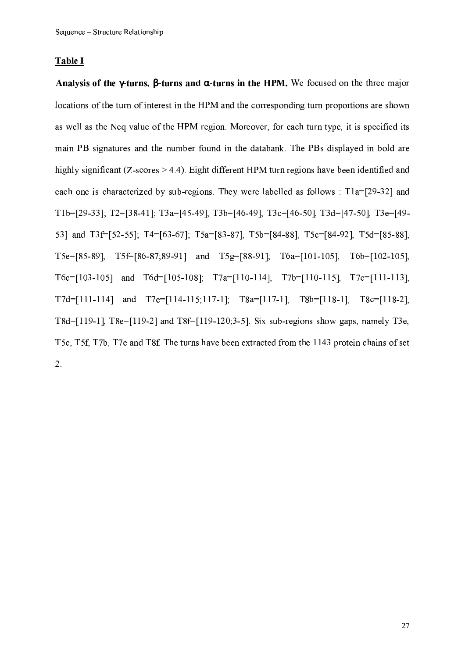#### Table I

Analysis of the  $\gamma$ -turns,  $\beta$ -turns and  $\alpha$ -turns in the HPM. We focused on the three major locations of the turn of interest in the HPM and the corresponding turn proportions are shown as well as the Neq value of the HPM region. Moreover, for each turn type, it is specified its main PB signatures and the number found in the databank. The PBs displayed in bold are highly significant ( $Z$ -scores  $> 4.4$ ). Eight different HPM turn regions have been identified and each one is characterized by sub-regions. They were labelled as follows : T1a=[29-32] and T1b=[29-33]; T2=[38-41]; T3a=[45-49], T3b=[46-49], T3c=[46-50], T3d=[47-50], T3e=[49-53] and T3f=[52-55]; T4=[63-67]; T5a=[83-87], T5b=[84-88], T5c=[84-92], T5d=[85-88], T5e=[85-89], T5f=[86-87;89-91] and T5g=[88-91]; T6a=[101-105], T6b=[102-105],  $T6c=[103-105]$  and  $T6d=[105-108]$ ;  $T7a=[110-114]$ ,  $T7b=[110-115]$ ,  $T7c=[111-113]$ ,  $T7d=[111-114]$  and  $T7e=[114-115;117-1]$ ;  $T8a=[117-1]$ ,  $T8b=[118-1]$ ,  $T8c=[118-2]$ , T8d=[119-1], T8e=[119-2] and T8f=[119-120;3-5]. Six sub-regions show gaps, namely T3e, T5c, T5f, T7b, T7e and T8f. The turns have been extracted from the 1143 protein chains of set  $2.$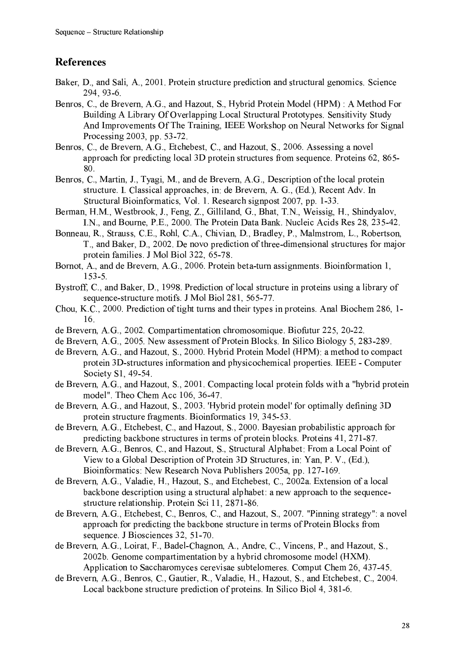# **References**

- Baker, D., and Sali, A., 2001. Protein structure prediction and structural genomics. Science 294, 93-6.
- Benros, C., de Brevern, A.G., and Hazout, S., Hybrid Protein Model (HPM): A Method For Building A Library Of Overlapping Local Structural Prototypes. Sensitivity Study And Improvements Of The Training, IEEE Workshop on Neural Networks for Signal Processing 2003, pp. 53-72.
- Benros, C., de Brevern, A.G., Etchebest, C., and Hazout, S., 2006. Assessing a novel approach for predicting local 3D protein structures from sequence. Proteins 62, 865-80
- Benros, C., Martin, J., Tyagi, M., and de Brevern, A.G., Description of the local protein structure. I. Classical approaches, in: de Brevern, A. G., (Ed.), Recent Adv. In Structural Bioinformatics, Vol. 1. Research signpost 2007, pp. 1-33.
- Berman, H.M., Westbrook, J., Feng, Z., Gilliland, G., Bhat, T.N., Weissig, H., Shindyalov, I.N., and Bourne, P.E., 2000. The Protein Data Bank. Nucleic Acids Res 28, 235-42.
- Bonneau, R., Strauss, C.E., Rohl, C.A., Chivian, D., Bradley, P., Malmstrom, L., Robertson, T., and Baker, D., 2002. De novo prediction of three-dimensional structures for major protein families. J Mol Biol 322, 65-78.
- Bornot, A., and de Brevern, A.G., 2006. Protein beta-turn assignments. Bioinformation 1,  $153 - 5$
- Bystroff, C., and Baker, D., 1998. Prediction of local structure in proteins using a library of sequence-structure motifs. J Mol Biol 281, 565-77.
- Chou, K.C., 2000. Prediction of tight turns and their types in proteins. Anal Biochem 286, 1-16.
- de Brevern, A.G., 2002. Compartimentation chromosomique. Biofutur 225, 20-22.
- de Brevern, A.G., 2005. New assessment of Protein Blocks. In Silico Biology 5, 283-289.
- de Brevern, A.G., and Hazout, S., 2000. Hybrid Protein Model (HPM): a method to compact protein 3D-structures information and physicochemical properties. IEEE - Computer Society S1, 49-54.
- de Brevern, A.G., and Hazout, S., 2001. Compacting local protein folds with a "hybrid protein model". Theo Chem Acc 106, 36-47.
- de Brevern, A.G., and Hazout, S., 2003. 'Hybrid protein model' for optimally defining 3D protein structure fragments. Bioinformatics 19, 345-53.
- de Brevern, A.G., Etchebest, C., and Hazout, S., 2000. Bayesian probabilistic approach for predicting backbone structures in terms of protein blocks. Proteins 41, 271-87.
- de Brevern, A.G., Benros, C., and Hazout, S., Structural Alphabet: From a Local Point of View to a Global Description of Protein 3D Structures, in: Yan, P. V., (Ed.). Bioinformatics: New Research Nova Publishers 2005a, pp. 127-169.
- de Brevern, A.G., Valadie, H., Hazout, S., and Etchebest, C., 2002a. Extension of a local backbone description using a structural alphabet: a new approach to the sequencestructure relationship. Protein Sci 11, 2871-86.
- de Brevern, A.G., Etchebest, C., Benros, C., and Hazout, S., 2007. "Pinning strategy": a novel approach for predicting the backbone structure in terms of Protein Blocks from sequence. J Biosciences 32, 51-70.
- de Brevern, A.G., Loirat, F., Badel-Chagnon, A., Andre, C., Vincens, P., and Hazout, S., 2002b. Genome compartimentation by a hybrid chromosome model (HXM). Application to Saccharomyces cerevisae subtelomeres. Comput Chem 26, 437-45.
- de Brevern, A.G., Benros, C., Gautier, R., Valadie, H., Hazout, S., and Etchebest, C., 2004. Local backbone structure prediction of proteins. In Silico Biol 4, 381-6.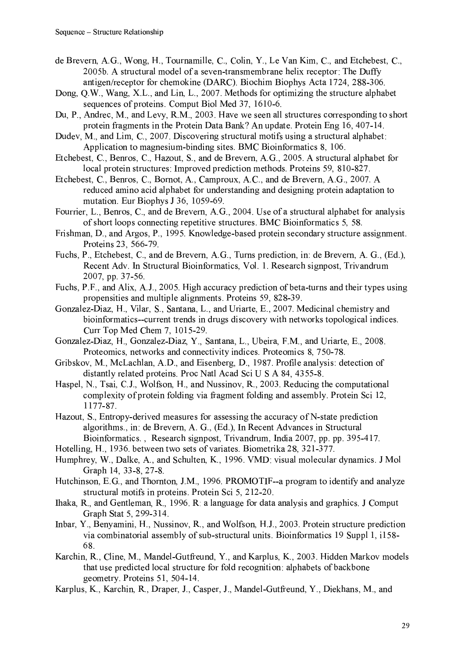- de Brevern, A.G., Wong, H., Tournamille, C., Colin, Y., Le Van Kim, C., and Etchebest, C., 2005b. A structural model of a seven-transmembrane helix receptor: The Duffy antigen/receptor for chemokine (DARC). Biochim Biophys Acta 1724, 288-306.
- Dong, Q.W., Wang, X.L., and Lin, L., 2007. Methods for optimizing the structure alphabet sequences of proteins. Comput Biol Med 37, 1610-6.
- Du, P., Andrec, M., and Levy, R.M., 2003. Have we seen all structures corresponding to short protein fragments in the Protein Data Bank? An update. Protein Eng 16, 407-14.
- Dudey, M., and Lim, C., 2007. Discovering structural motifs using a structural alphabet: Application to magnesium-binding sites. BMC Bioinformatics 8, 106.
- Etchebest, C., Benros, C., Hazout, S., and de Brevern, A.G., 2005. A structural alphabet for local protein structures: Improved prediction methods. Proteins 59, 810-827.
- Etchebest, C., Benros, C., Bornot, A., Camproux, A.C., and de Brevern, A.G., 2007. A reduced amino acid alphabet for understanding and designing protein adaptation to mutation. Eur Biophys J 36, 1059-69.
- Fourrier, L., Benros, C., and de Brevern, A.G., 2004. Use of a structural alphabet for analysis of short loops connecting repetitive structures. BMC Bioinformatics 5, 58.
- Frishman, D., and Argos, P., 1995. Knowledge-based protein secondary structure assignment. Proteins 23, 566-79.
- Fuchs, P., Etchebest, C., and de Brevern, A.G., Turns prediction, in: de Brevern, A.G., (Ed.), Recent Adv. In Structural Bioinformatics, Vol. 1. Research signpost, Trivandrum 2007, pp. 37-56.
- Fuchs, P.F., and Alix, A.J., 2005. High accuracy prediction of beta-turns and their types using propensities and multiple alignments. Proteins 59, 828-39.
- Gonzalez-Diaz, H., Vilar, S., Santana, L., and Uriarte, E., 2007. Medicinal chemistry and bioinformatics--current trends in drugs discovery with networks topological indices. Curr Top Med Chem 7, 1015-29.
- Gonzalez-Diaz, H., Gonzalez-Diaz, Y., Santana, L., Ubeira, F.M., and Uriarte, E., 2008. Proteomics, networks and connectivity indices. Proteomics 8, 750-78.
- Gribskov, M., McLachlan, A.D., and Eisenberg, D., 1987. Profile analysis: detection of distantly related proteins. Proc Natl Acad Sci U S A 84, 4355-8.
- Haspel, N., Tsai, C.J., Wolfson, H., and Nussinov, R., 2003. Reducing the computational complexity of protein folding via fragment folding and assembly. Protein Sci 12, 1177-87.
- Hazout, S., Entropy-derived measures for assessing the accuracy of N-state prediction algorithms., in: de Brevern, A. G., (Ed.), In Recent Advances in Structural Bioinformatics., Research signpost, Trivandrum, India 2007, pp. pp. 395-417.
- Hotelling, H., 1936, between two sets of variates. Biometrika 28, 321-377.
- Humphrey, W., Dalke, A., and Schulten, K., 1996. VMD: visual molecular dynamics. J Mol Graph 14, 33-8, 27-8
- Hutchinson, E.G., and Thornton, J.M., 1996. PROMOTIF--a program to identify and analyze structural motifs in proteins. Protein Sci 5, 212-20.
- Ihaka, R., and Gentleman, R., 1996. R: a language for data analysis and graphics. J Comput Graph Stat 5, 299-314.
- Inbar, Y., Benyamini, H., Nussinov, R., and Wolfson, H.J., 2003. Protein structure prediction via combinatorial assembly of sub-structural units. Bioinformatics 19 Suppl 1, i158-68.
- Karchin, R., Cline, M., Mandel-Gutfreund, Y., and Karplus, K., 2003. Hidden Markov models that use predicted local structure for fold recognition: alphabets of backbone geometry. Proteins 51, 504-14.
- Karplus, K., Karchin, R., Draper, J., Casper, J., Mandel-Gutfreund, Y., Diekhans, M., and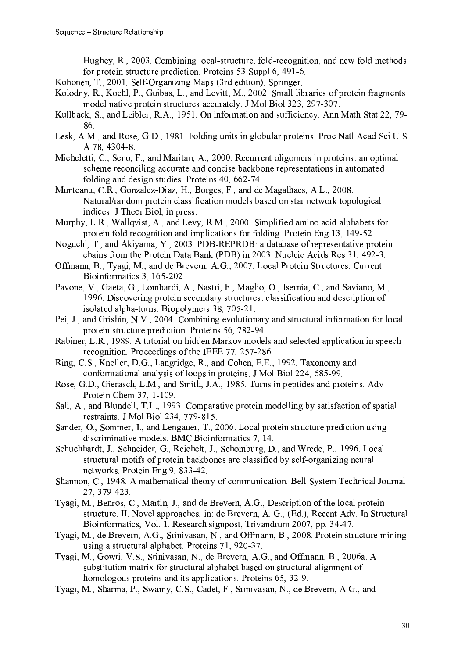Hughey, R., 2003. Combining local-structure, fold-recognition, and new fold methods for protein structure prediction. Proteins 53 Suppl 6, 491-6.

Kohonen, T., 2001. Self-Organizing Maps (3rd edition). Springer.

- Kolodny, R., Koehl, P., Guibas, L., and Levitt, M., 2002. Small libraries of protein fragments model native protein structures accurately. J Mol Biol 323, 297-307.
- Kullback, S., and Leibler, R.A., 1951. On information and sufficiency. Ann Math Stat 22, 79-86.
- Lesk, A.M., and Rose, G.D., 1981. Folding units in globular proteins. Proc Natl Acad Sci U S A 78, 4304-8.
- Micheletti, C., Seno, F., and Maritan, A., 2000. Recurrent oligomers in proteins: an optimal scheme reconciling accurate and concise backbone representations in automated folding and design studies. Proteins 40, 662-74.
- Munteanu, C.R., Gonzalez-Diaz, H., Borges, F., and de Magalhaes, A.L., 2008. Natural/random protein classification models based on star network topological indices. J Theor Biol, in press.
- Murphy, L.R., Wallqvist, A., and Levy, R.M., 2000. Simplified amino acid alphabets for protein fold recognition and implications for folding. Protein Eng 13, 149-52.
- Noguchi, T., and Akiyama, Y., 2003. PDB-REPRDB: a database of representative protein chains from the Protein Data Bank (PDB) in 2003. Nucleic Acids Res 31, 492-3.
- Offmann, B., Tyagi, M., and de Brevern, A.G., 2007. Local Protein Structures. Current Bioinformatics 3, 165-202.
- Pavone, V., Gaeta, G., Lombardi, A., Nastri, F., Maglio, O., Isernia, C., and Saviano, M., 1996. Discovering protein secondary structures: classification and description of isolated alpha-turns. Biopolymers 38, 705-21.
- Pei, J., and Grishin, N.V., 2004. Combining evolutionary and structural information for local protein structure prediction. Proteins 56, 782-94.
- Rabiner, L.R., 1989. A tutorial on hidden Markov models and selected application in speech recognition. Proceedings of the IEEE 77, 257-286.
- Ring, C.S., Kneller, D.G., Langridge, R., and Cohen, F.E., 1992. Taxonomy and conformational analysis of loops in proteins. J Mol Biol 224, 685-99.
- Rose, G.D., Gierasch, L.M., and Smith, J.A., 1985. Turns in peptides and proteins. Adv Protein Chem 37, 1-109.
- Sali, A., and Blundell, T.L., 1993. Comparative protein modelling by satisfaction of spatial restraints. J Mol Biol 234, 779-815.
- Sander, O., Sommer, I., and Lengauer, T., 2006. Local protein structure prediction using discriminative models. BMC Bioinformatics 7, 14.
- Schuchhardt, J., Schneider, G., Reichelt, J., Schomburg, D., and Wrede, P., 1996, Local structural motifs of protein backbones are classified by self-organizing neural networks. Protein Eng 9, 833-42.
- Shannon, C., 1948. A mathematical theory of communication. Bell System Technical Journal 27, 379-423.
- Tyagi, M., Benros, C., Martin, J., and de Brevern, A.G., Description of the local protein structure. II. Novel approaches, in: de Brevern, A. G., (Ed.), Recent Adv. In Structural Bioinformatics, Vol. 1. Research signpost, Trivandrum 2007, pp. 34-47.
- Tyagi, M., de Brevern, A.G., Srinivasan, N., and Offmann, B., 2008. Protein structure mining using a structural alphabet. Proteins 71, 920-37.
- Tyagi, M., Gowri, V.S., Srinivasan, N., de Brevern, A.G., and Offmann, B., 2006a. A substitution matrix for structural alphabet based on structural alignment of homologous proteins and its applications. Proteins 65, 32-9.
- Tyagi, M., Sharma, P., Swamy, C.S., Cadet, F., Srinivasan, N., de Brevern, A.G., and